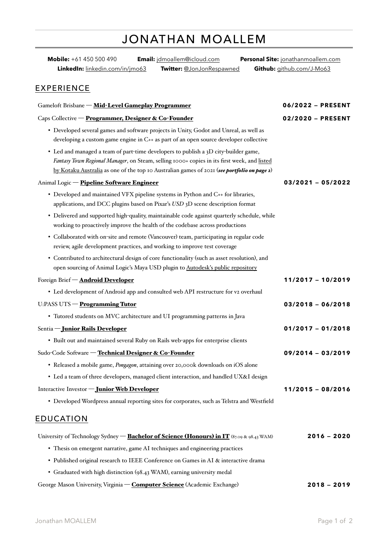# JONATHAN MOALLEM

| Mobile: +61 450 500 490                                                                                                                                             | Email: jdmoallem@icloud.com                                                                                                                                                                | Personal Site: jonathanmoallem.com |  |  |  |
|---------------------------------------------------------------------------------------------------------------------------------------------------------------------|--------------------------------------------------------------------------------------------------------------------------------------------------------------------------------------------|------------------------------------|--|--|--|
| LinkedIn: linkedin.com/in/jmo63                                                                                                                                     | Twitter: @JonJonRespawned                                                                                                                                                                  | Github: github.com/J-Mo63          |  |  |  |
| <b>EXPERIENCE</b>                                                                                                                                                   |                                                                                                                                                                                            |                                    |  |  |  |
| Gameloft Brisbane - Mid-Level Gameplay Programmer                                                                                                                   | 06/2022 - PRESENT                                                                                                                                                                          |                                    |  |  |  |
| Caps Collective - Programmer, Designer & Co-Founder                                                                                                                 | 02/2020 - PRESENT                                                                                                                                                                          |                                    |  |  |  |
| • Developed several games and software projects in Unity, Godot and Unreal, as well as                                                                              | developing a custom game engine in C++ as part of an open source developer collective                                                                                                      |                                    |  |  |  |
| • Led and managed a team of part-time developers to publish a 3D city-builder game,                                                                                 | Fantasy Town Regional Manager, on Steam, selling 1000+ copies in its first week, and listed<br>by Kotaku Australia as one of the top 10 Australian games of 2021 (see portfolio on page 2) |                                    |  |  |  |
| Animal Logic - Pipeline Software Engineer                                                                                                                           |                                                                                                                                                                                            | $03/2021 - 05/2022$                |  |  |  |
| • Developed and maintained VFX pipeline systems in Python and C++ for libraries,                                                                                    | applications, and DCC plugins based on Pixar's USD 3D scene description format                                                                                                             |                                    |  |  |  |
| • Delivered and supported high-quality, maintainable code against quarterly schedule, while                                                                         | working to proactively improve the health of the codebase across productions                                                                                                               |                                    |  |  |  |
| • Collaborated with on-site and remote (Vancouver) team, participating in regular code<br>review, agile development practices, and working to improve test coverage |                                                                                                                                                                                            |                                    |  |  |  |
| • Contributed to architectural design of core functionality (such as asset resolution), and                                                                         | open sourcing of Animal Logic's Maya USD plugin to Autodesk's public repository                                                                                                            |                                    |  |  |  |
| Foreign Brief - Android Developer                                                                                                                                   |                                                                                                                                                                                            | 11/2017 - 10/2019                  |  |  |  |
| • Led development of Android app and consulted web API restructure for v2 overhaul                                                                                  |                                                                                                                                                                                            |                                    |  |  |  |
| U:PASS UTS - Programming Tutor                                                                                                                                      |                                                                                                                                                                                            | $03/2018 - 06/2018$                |  |  |  |
| • Tutored students on MVC architecture and UI programming patterns in Java                                                                                          |                                                                                                                                                                                            |                                    |  |  |  |
| Sentia - Junior Rails Developer                                                                                                                                     |                                                                                                                                                                                            | $01/2017 - 01/2018$                |  |  |  |
| • Built out and maintained several Ruby on Rails web-apps for enterprise clients                                                                                    |                                                                                                                                                                                            |                                    |  |  |  |
| Sudo-Code Software - Technical Designer & Co-Founder                                                                                                                |                                                                                                                                                                                            | $09/2014 - 03/2019$                |  |  |  |
| · Released a mobile game, Pongagon, attaining over 20,000k downloads on iOS alone                                                                                   |                                                                                                                                                                                            |                                    |  |  |  |
| • Led a team of three developers, managed client interaction, and handled UX&I design                                                                               |                                                                                                                                                                                            |                                    |  |  |  |
| Interactive Investor - Junior Web Developer                                                                                                                         |                                                                                                                                                                                            | $11/2015 - 08/2016$                |  |  |  |
| • Developed Wordpress annual reporting sites for corporates, such as Telstra and Westfield                                                                          |                                                                                                                                                                                            |                                    |  |  |  |
| <b>EDUCATION</b>                                                                                                                                                    |                                                                                                                                                                                            |                                    |  |  |  |
| University of Technology Sydney - Bachelor of Science (Honours) in IT (87.09 & 98.43 WAM)                                                                           |                                                                                                                                                                                            | $2016 - 2020$                      |  |  |  |
| • Thesis on emergent narrative, game AI techniques and engineering practices                                                                                        |                                                                                                                                                                                            |                                    |  |  |  |
| • Published original research to IEEE Conference on Games in AI & interactive drama                                                                                 |                                                                                                                                                                                            |                                    |  |  |  |

• Graduated with high distinction (98.43 WAM), earning university medal

George Mason University, Virginia — Computer Science (Academic Exchange) **2018 — 2019**